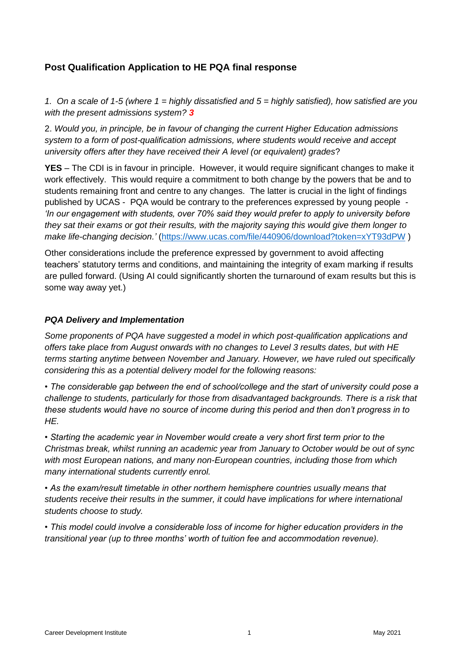# **Post Qualification Application to HE PQA final response**

*1. On a scale of 1-5 (where 1 = highly dissatisfied and 5 = highly satisfied), how satisfied are you with the present admissions system? 3*

2. *Would you, in principle, be in favour of changing the current Higher Education admissions system to a form of post-qualification admissions, where students would receive and accept university offers after they have received their A level (or equivalent) grades*?

**YES** – The CDI is in favour in principle. However, it would require significant changes to make it work effectively. This would require a commitment to both change by the powers that be and to students remaining front and centre to any changes. The latter is crucial in the light of findings published by UCAS - PQA would be contrary to the preferences expressed by young people - *'In our engagement with students, over 70% said they would prefer to apply to university before they sat their exams or got their results, with the majority saying this would give them longer to make life-changing decision.'* [\(https://www.ucas.com/file/440906/download?token=xYT93dPW](https://www.ucas.com/file/440906/download?token=xYT93dPW) )

Other considerations include the preference expressed by government to avoid affecting teachers' statutory terms and conditions, and maintaining the integrity of exam marking if results are pulled forward. (Using AI could significantly shorten the turnaround of exam results but this is some way away yet.)

# *PQA Delivery and Implementation*

*Some proponents of PQA have suggested a model in which post-qualification applications and offers take place from August onwards with no changes to Level 3 results dates, but with HE terms starting anytime between November and January. However, we have ruled out specifically considering this as a potential delivery model for the following reasons:*

*• The considerable gap between the end of school/college and the start of university could pose a challenge to students, particularly for those from disadvantaged backgrounds. There is a risk that these students would have no source of income during this period and then don't progress in to HE.*

*• Starting the academic year in November would create a very short first term prior to the Christmas break, whilst running an academic year from January to October would be out of sync with most European nations, and many non-European countries, including those from which many international students currently enrol.*

*• As the exam/result timetable in other northern hemisphere countries usually means that students receive their results in the summer, it could have implications for where international students choose to study.*

*• This model could involve a considerable loss of income for higher education providers in the transitional year (up to three months' worth of tuition fee and accommodation revenue).*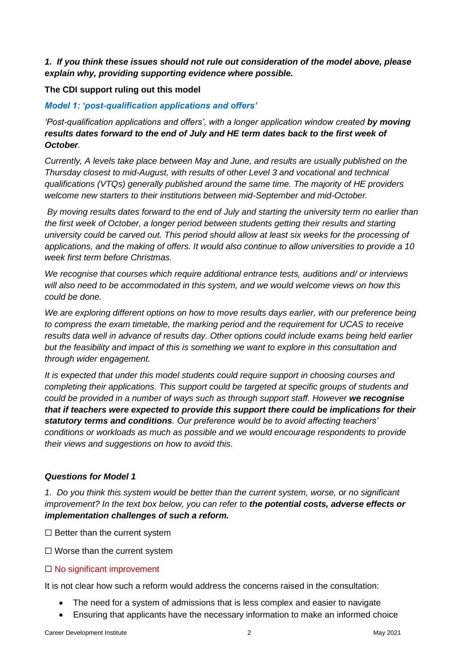*1. If you think these issues should not rule out consideration of the model above, please explain why, providing supporting evidence where possible.*

#### **The CDI support ruling out this model**

#### *Model 1: 'post-qualification applications and offers'*

*'Post-qualification applications and offers', with a longer application window created by moving results dates forward to the end of July and HE term dates back to the first week of October.* 

*Currently, A levels take place between May and June, and results are usually published on the Thursday closest to mid-August, with results of other Level 3 and vocational and technical qualifications (VTQs) generally published around the same time. The majority of HE providers welcome new starters to their institutions between mid-September and mid-October.*

*By moving results dates forward to the end of July and starting the university term no earlier than the first week of October, a longer period between students getting their results and starting university could be carved out. This period should allow at least six weeks for the processing of applications, and the making of offers. It would also continue to allow universities to provide a 10 week first term before Christmas.*

*We recognise that courses which require additional entrance tests, auditions and/ or interviews will also need to be accommodated in this system, and we would welcome views on how this could be done.*

*We are exploring different options on how to move results days earlier, with our preference being to compress the exam timetable, the marking period and the requirement for UCAS to receive results data well in advance of results day. Other options could include exams being held earlier but the feasibility and impact of this is something we want to explore in this consultation and through wider engagement.*

*It is expected that under this model students could require support in choosing courses and completing their applications. This support could be targeted at specific groups of students and could be provided in a number of ways such as through support staff. However we recognise that if teachers were expected to provide this support there could be implications for their statutory terms and conditions. Our preference would be to avoid affecting teachers' conditions or workloads as much as possible and we would encourage respondents to provide their views and suggestions on how to avoid this.*

#### *Questions for Model 1*

*1. Do you think this system would be better than the current system, worse, or no significant improvement? In the text box below, you can refer to the potential costs, adverse effects or implementation challenges of such a reform.*

 $\Box$  Better than the current system

 $\Box$  Worse than the current system

#### □ No significant improvement

It is not clear how such a reform would address the concerns raised in the consultation:

- The need for a system of admissions that is less complex and easier to navigate
- Ensuring that applicants have the necessary information to make an informed choice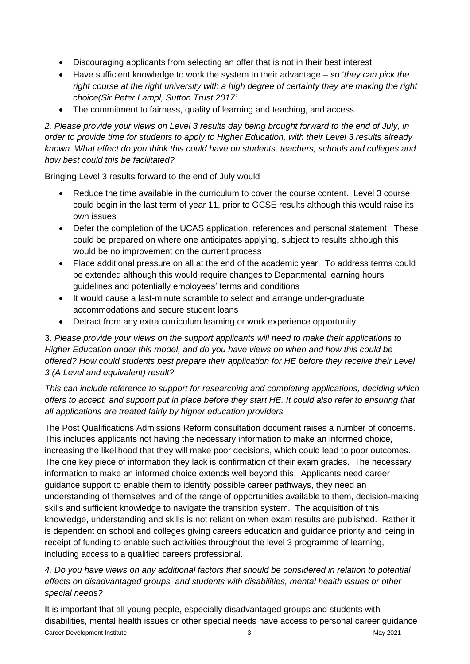- Discouraging applicants from selecting an offer that is not in their best interest
- Have sufficient knowledge to work the system to their advantage so '*they can pick the right course at the right university with a high degree of certainty they are making the right choice(Sir Peter Lampl, Sutton Trust 2017'*
- The commitment to fairness, quality of learning and teaching, and access

*2. Please provide your views on Level 3 results day being brought forward to the end of July, in order to provide time for students to apply to Higher Education, with their Level 3 results already known. What effect do you think this could have on students, teachers, schools and colleges and how best could this be facilitated?*

Bringing Level 3 results forward to the end of July would

- Reduce the time available in the curriculum to cover the course content. Level 3 course could begin in the last term of year 11, prior to GCSE results although this would raise its own issues
- Defer the completion of the UCAS application, references and personal statement. These could be prepared on where one anticipates applying, subject to results although this would be no improvement on the current process
- Place additional pressure on all at the end of the academic year. To address terms could be extended although this would require changes to Departmental learning hours guidelines and potentially employees' terms and conditions
- It would cause a last-minute scramble to select and arrange under-graduate accommodations and secure student loans
- Detract from any extra curriculum learning or work experience opportunity

3. *Please provide your views on the support applicants will need to make their applications to Higher Education under this model, and do you have views on when and how this could be offered? How could students best prepare their application for HE before they receive their Level 3 (A Level and equivalent) result?*

*This can include reference to support for researching and completing applications, deciding which offers to accept, and support put in place before they start HE. It could also refer to ensuring that all applications are treated fairly by higher education providers.*

The Post Qualifications Admissions Reform consultation document raises a number of concerns. This includes applicants not having the necessary information to make an informed choice, increasing the likelihood that they will make poor decisions, which could lead to poor outcomes. The one key piece of information they lack is confirmation of their exam grades. The necessary information to make an informed choice extends well beyond this. Applicants need career guidance support to enable them to identify possible career pathways, they need an understanding of themselves and of the range of opportunities available to them, decision-making skills and sufficient knowledge to navigate the transition system. The acquisition of this knowledge, understanding and skills is not reliant on when exam results are published. Rather it is dependent on school and colleges giving careers education and guidance priority and being in receipt of funding to enable such activities throughout the level 3 programme of learning, including access to a qualified careers professional.

*4. Do you have views on any additional factors that should be considered in relation to potential effects on disadvantaged groups, and students with disabilities, mental health issues or other special needs?*

Career Development Institute 2021 and the state of the 3 May 2021 It is important that all young people, especially disadvantaged groups and students with disabilities, mental health issues or other special needs have access to personal career guidance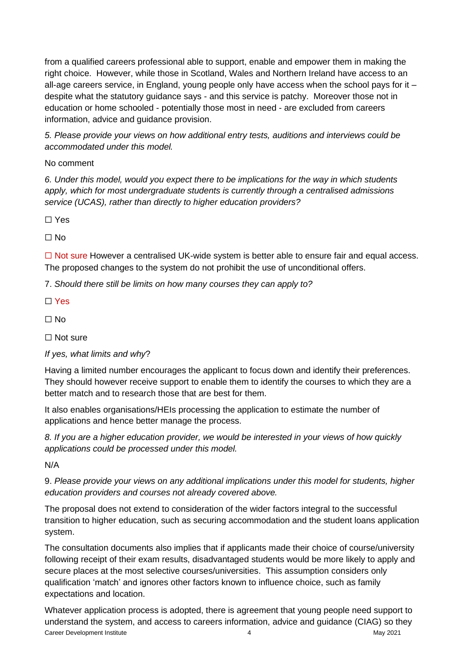from a qualified careers professional able to support, enable and empower them in making the right choice. However, while those in Scotland, Wales and Northern Ireland have access to an all-age careers service, in England, young people only have access when the school pays for it – despite what the statutory guidance says - and this service is patchy. Moreover those not in education or home schooled - potentially those most in need - are excluded from careers information, advice and guidance provision.

*5. Please provide your views on how additional entry tests, auditions and interviews could be accommodated under this model.*

# No comment

*6. Under this model, would you expect there to be implications for the way in which students apply, which for most undergraduate students is currently through a centralised admissions service (UCAS), rather than directly to higher education providers?*

☐ Yes

☐ No

 $\Box$  Not sure However a centralised UK-wide system is better able to ensure fair and equal access. The proposed changes to the system do not prohibit the use of unconditional offers.

7. *Should there still be limits on how many courses they can apply to?*

☐ Yes

☐ No

☐ Not sure

### *If yes, what limits and why*?

Having a limited number encourages the applicant to focus down and identify their preferences. They should however receive support to enable them to identify the courses to which they are a better match and to research those that are best for them.

It also enables organisations/HEIs processing the application to estimate the number of applications and hence better manage the process.

*8. If you are a higher education provider, we would be interested in your views of how quickly applications could be processed under this model.*

N/A

9. *Please provide your views on any additional implications under this model for students, higher education providers and courses not already covered above.*

The proposal does not extend to consideration of the wider factors integral to the successful transition to higher education, such as securing accommodation and the student loans application system.

The consultation documents also implies that if applicants made their choice of course/university following receipt of their exam results, disadvantaged students would be more likely to apply and secure places at the most selective courses/universities. This assumption considers only qualification 'match' and ignores other factors known to influence choice, such as family expectations and location.

Career Development Institute 4 May 2021 Whatever application process is adopted, there is agreement that young people need support to understand the system, and access to careers information, advice and guidance (CIAG) so they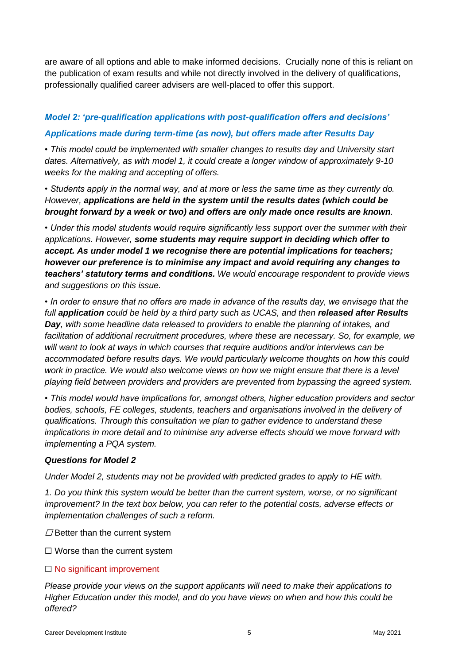are aware of all options and able to make informed decisions. Crucially none of this is reliant on the publication of exam results and while not directly involved in the delivery of qualifications, professionally qualified career advisers are well-placed to offer this support.

# *Model 2: 'pre-qualification applications with post-qualification offers and decisions' Applications made during term-time (as now), but offers made after Results Day*

*• This model could be implemented with smaller changes to results day and University start dates. Alternatively, as with model 1, it could create a longer window of approximately 9-10 weeks for the making and accepting of offers.*

*• Students apply in the normal way, and at more or less the same time as they currently do. However, applications are held in the system until the results dates (which could be brought forward by a week or two) and offers are only made once results are known.*

*• Under this model students would require significantly less support over the summer with their applications. However, some students may require support in deciding which offer to accept. As under model 1 we recognise there are potential implications for teachers; however our preference is to minimise any impact and avoid requiring any changes to teachers' statutory terms and conditions. We would encourage respondent to provide views and suggestions on this issue.*

*• In order to ensure that no offers are made in advance of the results day, we envisage that the full application could be held by a third party such as UCAS, and then released after Results Day, with some headline data released to providers to enable the planning of intakes, and facilitation of additional recruitment procedures, where these are necessary. So, for example, we will want to look at ways in which courses that require auditions and/or interviews can be accommodated before results days. We would particularly welcome thoughts on how this could*  work in practice. We would also welcome views on how we might ensure that there is a level *playing field between providers and providers are prevented from bypassing the agreed system.*

*• This model would have implications for, amongst others, higher education providers and sector bodies, schools, FE colleges, students, teachers and organisations involved in the delivery of qualifications. Through this consultation we plan to gather evidence to understand these implications in more detail and to minimise any adverse effects should we move forward with implementing a PQA system.*

### *Questions for Model 2*

*Under Model 2, students may not be provided with predicted grades to apply to HE with.*

*1. Do you think this system would be better than the current system, worse, or no significant improvement? In the text box below, you can refer to the potential costs, adverse effects or implementation challenges of such a reform.*

 $\Box$  Better than the current system

 $\Box$  Worse than the current system

### □ No significant improvement

*Please provide your views on the support applicants will need to make their applications to Higher Education under this model, and do you have views on when and how this could be offered?*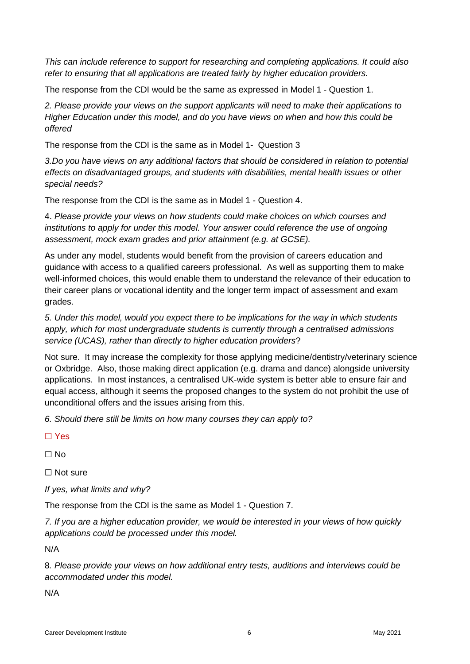*This can include reference to support for researching and completing applications. It could also refer to ensuring that all applications are treated fairly by higher education providers.*

The response from the CDI would be the same as expressed in Model 1 - Question 1.

*2. Please provide your views on the support applicants will need to make their applications to Higher Education under this model, and do you have views on when and how this could be offered* 

The response from the CDI is the same as in Model 1- Question 3

3.Do you have views on any additional factors that should be considered in relation to potential *effects on disadvantaged groups, and students with disabilities, mental health issues or other special needs?*

The response from the CDI is the same as in Model 1 - Question 4.

4. *Please provide your views on how students could make choices on which courses and institutions to apply for under this model. Your answer could reference the use of ongoing assessment, mock exam grades and prior attainment (e.g. at GCSE).*

As under any model, students would benefit from the provision of careers education and guidance with access to a qualified careers professional. As well as supporting them to make well-informed choices, this would enable them to understand the relevance of their education to their career plans or vocational identity and the longer term impact of assessment and exam grades.

*5. Under this model, would you expect there to be implications for the way in which students apply, which for most undergraduate students is currently through a centralised admissions service (UCAS), rather than directly to higher education providers*?

Not sure. It may increase the complexity for those applying medicine/dentistry/veterinary science or Oxbridge. Also, those making direct application (e.g. drama and dance) alongside university applications. In most instances, a centralised UK-wide system is better able to ensure fair and equal access, although it seems the proposed changes to the system do not prohibit the use of unconditional offers and the issues arising from this.

*6. Should there still be limits on how many courses they can apply to?*

☐ Yes

☐ No

☐ Not sure

*If yes, what limits and why?*

The response from the CDI is the same as Model 1 - Question 7.

*7. If you are a higher education provider, we would be interested in your views of how quickly applications could be processed under this model.*

N/A

8*. Please provide your views on how additional entry tests, auditions and interviews could be accommodated under this model.*

N/A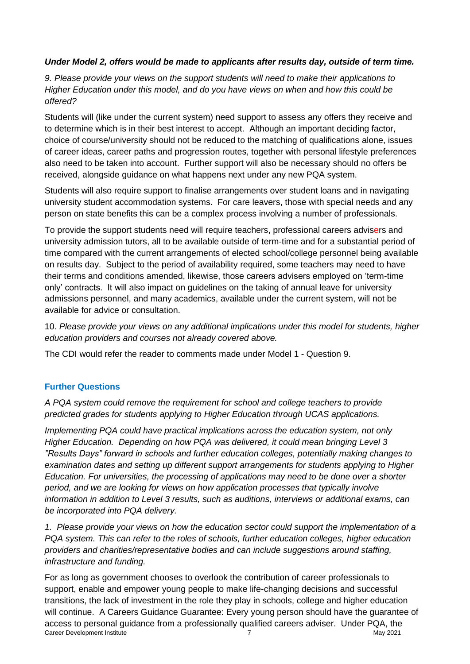## *Under Model 2, offers would be made to applicants after results day, outside of term time.*

*9. Please provide your views on the support students will need to make their applications to Higher Education under this model, and do you have views on when and how this could be offered?*

Students will (like under the current system) need support to assess any offers they receive and to determine which is in their best interest to accept. Although an important deciding factor, choice of course/university should not be reduced to the matching of qualifications alone, issues of career ideas, career paths and progression routes, together with personal lifestyle preferences also need to be taken into account. Further support will also be necessary should no offers be received, alongside guidance on what happens next under any new PQA system.

Students will also require support to finalise arrangements over student loans and in navigating university student accommodation systems. For care leavers, those with special needs and any person on state benefits this can be a complex process involving a number of professionals.

To provide the support students need will require teachers, professional careers advisers and university admission tutors, all to be available outside of term-time and for a substantial period of time compared with the current arrangements of elected school/college personnel being available on results day. Subject to the period of availability required, some teachers may need to have their terms and conditions amended, likewise, those careers advisers employed on 'term-time only' contracts. It will also impact on guidelines on the taking of annual leave for university admissions personnel, and many academics, available under the current system, will not be available for advice or consultation.

10. *Please provide your views on any additional implications under this model for students, higher education providers and courses not already covered above.*

The CDI would refer the reader to comments made under Model 1 - Question 9.

# **Further Questions**

*A PQA system could remove the requirement for school and college teachers to provide predicted grades for students applying to Higher Education through UCAS applications.* 

*Implementing PQA could have practical implications across the education system, not only Higher Education. Depending on how PQA was delivered, it could mean bringing Level 3 "Results Days" forward in schools and further education colleges, potentially making changes to examination dates and setting up different support arrangements for students applying to Higher Education. For universities, the processing of applications may need to be done over a shorter period, and we are looking for views on how application processes that typically involve information in addition to Level 3 results, such as auditions, interviews or additional exams, can be incorporated into PQA delivery.*

*1. Please provide your views on how the education sector could support the implementation of a PQA system. This can refer to the roles of schools, further education colleges, higher education providers and charities/representative bodies and can include suggestions around staffing, infrastructure and funding.*

Career Development Institute 7 May 2021 For as long as government chooses to overlook the contribution of career professionals to support, enable and empower young people to make life-changing decisions and successful transitions, the lack of investment in the role they play in schools, college and higher education will continue. A Careers Guidance Guarantee: Every young person should have the guarantee of access to personal guidance from a professionally qualified careers adviser. Under PQA, the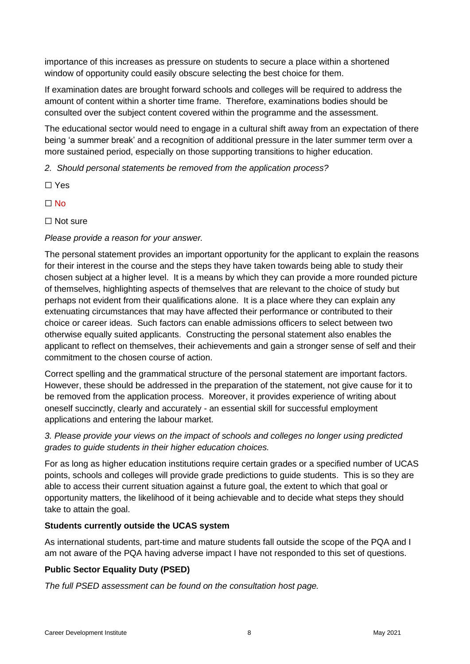importance of this increases as pressure on students to secure a place within a shortened window of opportunity could easily obscure selecting the best choice for them.

If examination dates are brought forward schools and colleges will be required to address the amount of content within a shorter time frame. Therefore, examinations bodies should be consulted over the subject content covered within the programme and the assessment.

The educational sector would need to engage in a cultural shift away from an expectation of there being 'a summer break' and a recognition of additional pressure in the later summer term over a more sustained period, especially on those supporting transitions to higher education.

*2. Should personal statements be removed from the application process?*

- ☐ Yes
- $\Box$  No
- ☐ Not sure

## *Please provide a reason for your answer.*

The personal statement provides an important opportunity for the applicant to explain the reasons for their interest in the course and the steps they have taken towards being able to study their chosen subject at a higher level. It is a means by which they can provide a more rounded picture of themselves, highlighting aspects of themselves that are relevant to the choice of study but perhaps not evident from their qualifications alone. It is a place where they can explain any extenuating circumstances that may have affected their performance or contributed to their choice or career ideas. Such factors can enable admissions officers to select between two otherwise equally suited applicants. Constructing the personal statement also enables the applicant to reflect on themselves, their achievements and gain a stronger sense of self and their commitment to the chosen course of action.

Correct spelling and the grammatical structure of the personal statement are important factors. However, these should be addressed in the preparation of the statement, not give cause for it to be removed from the application process. Moreover, it provides experience of writing about oneself succinctly, clearly and accurately - an essential skill for successful employment applications and entering the labour market.

*3. Please provide your views on the impact of schools and colleges no longer using predicted grades to guide students in their higher education choices.*

For as long as higher education institutions require certain grades or a specified number of UCAS points, schools and colleges will provide grade predictions to guide students. This is so they are able to access their current situation against a future goal, the extent to which that goal or opportunity matters, the likelihood of it being achievable and to decide what steps they should take to attain the goal.

### **Students currently outside the UCAS system**

As international students, part-time and mature students fall outside the scope of the PQA and I am not aware of the PQA having adverse impact I have not responded to this set of questions.

# **Public Sector Equality Duty (PSED)**

*The full PSED assessment can be found on the consultation host page.*